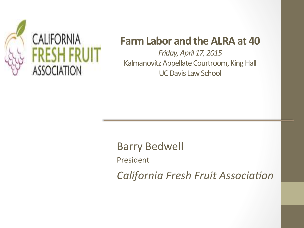

## **Farm Labor and the ALRA at 40**

*Friday, April 17, 2015* Kalmanovitz Appellate Courtroom, King Hall UC Davis Law School

Barry Bedwell President **California Fresh Fruit Association**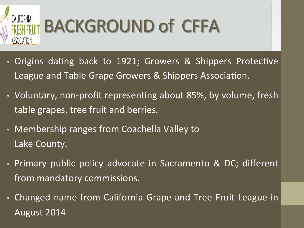

## BACKGROUND of CFFA

- Origins dating back to 1921; Growers & Shippers Protective League and Table Grape Growers & Shippers Association.
- Voluntary, non-profit representing about 85%, by volume, fresh table grapes, tree fruit and berries.
- Membership ranges from Coachella Valley to Lake County.
- Primary public policy advocate in Sacramento & DC; different from mandatory commissions.
- Changed name from California Grape and Tree Fruit League in August 2014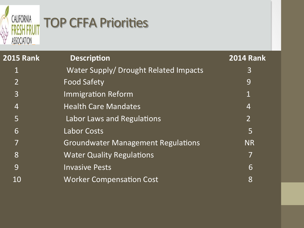

## **TOP CFFA Priorities**

| <b>2015 Rank</b>         | <b>Description</b>                        | <b>2014 Rank</b> |  |
|--------------------------|-------------------------------------------|------------------|--|
|                          | Water Supply/ Drought Related Impacts     | 3                |  |
| $2^{\mathsf{I}}$         | <b>Food Safety</b>                        | 9                |  |
| 3                        | <b>Immigration Reform</b>                 |                  |  |
| 4                        | <b>Health Care Mandates</b>               | 4                |  |
| $\overline{5}$           | Labor Laws and Regulations                | $2^{\mathsf{I}}$ |  |
| 6                        | <b>Labor Costs</b>                        | 5                |  |
| $\overline{\phantom{a}}$ | <b>Groundwater Management Regulations</b> | <b>NR</b>        |  |
| 8                        | <b>Water Quality Regulations</b>          |                  |  |
| 9                        | <b>Invasive Pests</b>                     | 6                |  |
| 10                       | <b>Worker Compensation Cost</b>           | 8                |  |
|                          |                                           |                  |  |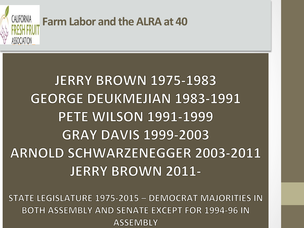

## **JERRY BROWN 1975-1983 GEORGE DEUKMEJIAN 1983-1991 PETE WILSON 1991-1999 GRAY DAVIS 1999-2003 ARNOLD SCHWARZENEGGER 2003-2011 JERRY BROWN 2011-**

STATE LEGISLATURE 1975-2015 - DEMOCRAT MAJORITIES IN **BOTH ASSEMBLY AND SENATE EXCEPT FOR 1994-96 IN ASSEMBLY**